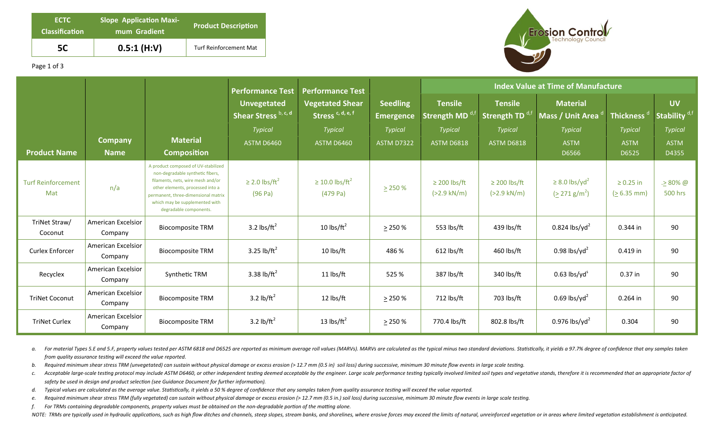| <b>ECTC</b><br><b>Classification</b> | <b>Slope Application Maxi-</b><br>mum Gradient | <b>Product Description</b>    |  |  |  |
|--------------------------------------|------------------------------------------------|-------------------------------|--|--|--|
| 5C                                   | 0.5:1(H:V)                                     | <b>Turf Reinforcement Mat</b> |  |  |  |



Page 1 of 3

|                                  |                                      |                                                                                                                                                                                                                                                     | <b>Performance Test</b><br><b>Performance Test</b> |                                                        |                                     | <b>Index Value at Time of Manufacture</b>  |                                               |                                                          |                                 |                                       |
|----------------------------------|--------------------------------------|-----------------------------------------------------------------------------------------------------------------------------------------------------------------------------------------------------------------------------------------------------|----------------------------------------------------|--------------------------------------------------------|-------------------------------------|--------------------------------------------|-----------------------------------------------|----------------------------------------------------------|---------------------------------|---------------------------------------|
|                                  |                                      |                                                                                                                                                                                                                                                     | <b>Unvegetated</b><br>Shear Stress b, c, d         | <b>Vegetated Shear</b><br>Stress <sup>c, d, e, f</sup> | <b>Seedling</b><br><b>Emergence</b> | <b>Tensile</b><br>Strength MD <sup>a</sup> | <b>Tensile</b><br>Strength TD <sup>d,ti</sup> | <b>Material</b><br>Mass / Unit Area <sup>d</sup>         | Thickness <sup>d</sup>          | <b>UV</b><br>Stability <sup>d,f</sup> |
|                                  |                                      |                                                                                                                                                                                                                                                     | <b>Typical</b>                                     | <b>Typical</b>                                         | <b>Typical</b>                      | <b>Typical</b>                             | <b>Typical</b>                                | <b>Typical</b>                                           | <b>Typical</b>                  | <b>Typical</b>                        |
|                                  | <b>Company</b>                       | <b>Material</b>                                                                                                                                                                                                                                     | <b>ASTM D6460</b>                                  | <b>ASTM D6460</b>                                      | <b>ASTM D7322</b>                   | <b>ASTM D6818</b>                          | <b>ASTM D6818</b>                             | <b>ASTM</b>                                              | <b>ASTM</b>                     | <b>ASTM</b>                           |
| <b>Product Name</b>              | <b>Name</b>                          | <b>Composition</b>                                                                                                                                                                                                                                  |                                                    |                                                        |                                     |                                            |                                               | D6566                                                    | D6525                           | D4355                                 |
| <b>Turf Reinforcement</b><br>Mat | n/a                                  | A product composed of UV-stabilized<br>non-degradable synthetic fibers,<br>filaments, nets, wire mesh and/or<br>other elements, processed into a<br>permanent, three-dimensional matrix<br>which may be supplemented with<br>degradable components. | $\geq$ 2.0 lbs/ft <sup>2</sup><br>(96 Pa)          | $\geq$ 10.0 lbs/ft <sup>2</sup><br>(479 Pa)            | $\geq$ 250 %                        | $\geq$ 200 lbs/ft<br>$(>2.9$ kN/m)         | $\geq$ 200 lbs/ft<br>$(>2.9 \text{ kN/m})$    | $\geq$ 8.0 lbs/yd <sup>2</sup><br>$(2271 \text{ g/m}^2)$ | $\geq 0.25$ in<br>$(26.35)$ mm) | $. > 80\%$ @<br><b>500 hrs</b>        |
| TriNet Straw/<br>Coconut         | <b>American Excelsior</b><br>Company | <b>Biocomposite TRM</b>                                                                                                                                                                                                                             | 3.2 $\text{lbs/ft}^2$                              | 10 $\text{lbs/ft}^2$                                   | $\geq$ 250 %                        | 553 lbs/ft                                 | 439 lbs/ft                                    | $0.824$ lbs/yd <sup>2</sup>                              | 0.344 in                        | 90                                    |
| Curlex Enforcer                  | American Excelsior<br>Company        | <b>Biocomposite TRM</b>                                                                                                                                                                                                                             | 3.25 lb/ $ft^2$                                    | 10 lbs/ft                                              | 486 %                               | $612$ lbs/ft                               | 460 lbs/ft                                    | 0.98 lbs/yd <sup>2</sup>                                 | 0.419 in                        | 90                                    |
| Recyclex                         | <b>American Excelsior</b><br>Company | Synthetic TRM                                                                                                                                                                                                                                       | 3.38 lb/ft <sup>2</sup>                            | 11 lbs/ft                                              | 525 %                               | 387 lbs/ft                                 | 340 lbs/ft                                    | $0.63$ lbs/yd <sup>s</sup>                               | $0.37$ in                       | 90                                    |
| <b>TriNet Coconut</b>            | American Excelsior<br>Company        | <b>Biocomposite TRM</b>                                                                                                                                                                                                                             | 3.2 lb/ $ft^2$                                     | 12 lbs/ft                                              | $\geq$ 250 %                        | 712 lbs/ft                                 | 703 lbs/ft                                    | $0.69$ lbs/yd <sup>2</sup>                               | 0.264 in                        | 90                                    |
| <b>TriNet Curlex</b>             | American Excelsior<br>Company        | <b>Biocomposite TRM</b>                                                                                                                                                                                                                             | 3.2 $\frac{1}{2}$                                  | 13 $\text{lbs/ft}^2$                                   | > 250%                              | 770.4 lbs/ft                               | 802.8 lbs/ft                                  | 0.976 lbs/yd <sup>2</sup>                                | 0.304                           | 90                                    |

a. For material Types 5.E and 5.F, property values tested per ASTM 6818 and D6525 are reported as minimum average roll values (MARVs). MARVs are calculated as the typical minus two standard deviations. Statistically, it yi *from quality assurance testing will exceed the value reported.* 

b. Required minimum shear stress TRM (unvegetated) can sustain without physical damage or excess erosion (> 12.7 mm (0.5 in) soil loss) during successive, minimum 30 minute flow events in large scale testing.

c. Acceptable large-scale testing protocol may include ASTM D6460, or other independent testing deemed acceptable by the engineer. Large scale performance testing typically involved limited soil types and vegetative stands safety be used in design and product selection (see Guidance Document for further information).

d. Typical values are calculated as the average value. Statistically, it yields a 50 % degree of confidence that any samples taken from quality assurance testing will exceed the value reported.

e. Required minimum shear stress TRM (fully vegetated) can sustain without physical damage or excess erosion (> 12.7 mm (0.5 in.) soil loss) during successive, minimum 30 minute flow events in large scale testing.

*f.* For TRMs containing degradable components, property values must be obtained on the non-degradable portion of the matting alone.

NOTE: TRMs are typically used in hydraulic applications, such as high flow ditches and channels, steep slopes, stream banks, and shorelines, where erosive forces may exceed the limits of natural, unreinforced vegetation or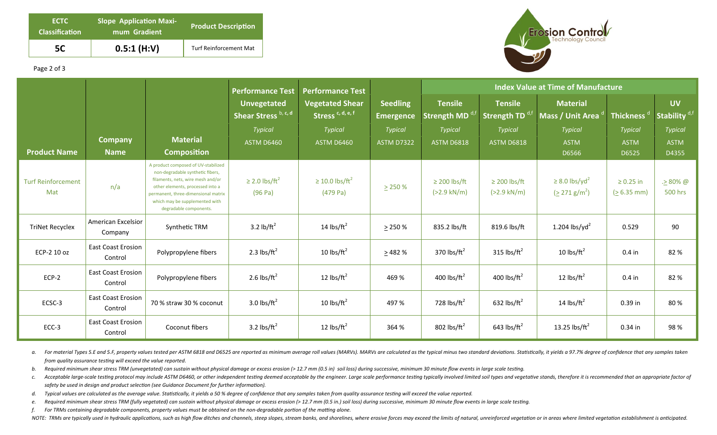| ECTC<br><b>Classification</b> | <b>Slope Application Maxi-</b><br>mum Gradient | <b>Product Description</b>    |  |  |  |
|-------------------------------|------------------------------------------------|-------------------------------|--|--|--|
| 5C                            | 0.5:1(H:V)                                     | <b>Turf Reinforcement Mat</b> |  |  |  |



## Page 2 of 3

|                                  |                                      |                                                                                                                                                                                                                                                     | <b>Performance Test</b>                    | <b>Performance Test</b>                                |                                     | <b>Index Value at Time of Manufacture</b>  |                                               |                                                          |                                 |                                       |
|----------------------------------|--------------------------------------|-----------------------------------------------------------------------------------------------------------------------------------------------------------------------------------------------------------------------------------------------------|--------------------------------------------|--------------------------------------------------------|-------------------------------------|--------------------------------------------|-----------------------------------------------|----------------------------------------------------------|---------------------------------|---------------------------------------|
|                                  |                                      |                                                                                                                                                                                                                                                     | <b>Unvegetated</b><br>Shear Stress b, c, d | <b>Vegetated Shear</b><br>Stress <sup>c, d, e, f</sup> | <b>Seedling</b><br><b>Emergence</b> | <b>Tensile</b><br><b>Strength MD</b>       | <b>Tensile</b><br>Strength TD <sup>d,tt</sup> | <b>Material</b><br>Mass / Unit Area                      | Thickness <sup>®</sup>          | <b>UV</b><br>Stability <sup>d,f</sup> |
|                                  |                                      |                                                                                                                                                                                                                                                     | <b>Typical</b>                             | <b>Typical</b>                                         | <b>Typical</b>                      | <b>Typical</b>                             | <b>Typical</b>                                | <b>Typical</b>                                           | <b>Typical</b>                  | <b>Typical</b>                        |
|                                  | <b>Company</b>                       | <b>Material</b>                                                                                                                                                                                                                                     | <b>ASTM D6460</b>                          | <b>ASTM D6460</b>                                      | <b>ASTM D7322</b>                   | <b>ASTM D6818</b>                          | <b>ASTM D6818</b>                             | <b>ASTM</b>                                              | <b>ASTM</b>                     | <b>ASTM</b>                           |
| <b>Product Name</b>              | <b>Name</b>                          | <b>Composition</b>                                                                                                                                                                                                                                  |                                            |                                                        |                                     |                                            |                                               | D6566                                                    | D6525                           | D4355                                 |
| <b>Turf Reinforcement</b><br>Mat | n/a                                  | A product composed of UV-stabilized<br>non-degradable synthetic fibers,<br>filaments, nets, wire mesh and/or<br>other elements, processed into a<br>permanent, three-dimensional matrix<br>which may be supplemented with<br>degradable components. | $\geq$ 2.0 lbs/ft <sup>2</sup><br>(96 Pa)  | $\geq$ 10.0 lbs/ft <sup>2</sup><br>$(479$ Pa)          | $\geq$ 250 %                        | $\geq$ 200 lbs/ft<br>$(>2.9 \text{ kN/m})$ | $\geq$ 200 lbs/ft<br>$(>2.9$ kN/m)            | $\geq$ 8.0 lbs/yd <sup>2</sup><br>$(2271 \text{ g/m}^2)$ | $\geq 0.25$ in<br>$(> 6.35$ mm) | . <u>&gt;</u> 80% @<br>500 hrs        |
| <b>TriNet Recyclex</b>           | <b>American Excelsior</b><br>Company | Synthetic TRM                                                                                                                                                                                                                                       | 3.2 $lb/ft^2$                              | 14 $\text{lbs/ft}^2$                                   | $\geq$ 250 %                        | 835.2 lbs/ft                               | 819.6 lbs/ft                                  | 1.204 lbs/yd <sup>2</sup>                                | 0.529                           | 90                                    |
| ECP-2 10 oz                      | <b>East Coast Erosion</b><br>Control | Polypropylene fibers                                                                                                                                                                                                                                | 2.3 lbs/ $ft^2$                            | 10 $\text{lbs/ft}^2$                                   | > 482%                              | 370 lbs/ $ft^2$                            | 315 lbs/ $ft^2$                               | 10 $\text{lbs/ft}^2$                                     | $0.4$ in                        | 82 %                                  |
| $ECP-2$                          | <b>East Coast Erosion</b><br>Control | Polypropylene fibers                                                                                                                                                                                                                                | 2.6 lbs/ $ft^2$                            | 12 $\text{lbs/ft}^2$                                   | 469 %                               | 400 lbs/ $ft^2$                            | 400 lbs/ $ft^2$                               | 12 $\text{lbs/ft}^2$                                     | $0.4$ in                        | 82 %                                  |
| ECSC-3                           | <b>East Coast Erosion</b><br>Control | 70 % straw 30 % coconut                                                                                                                                                                                                                             | 3.0 lbs/ $ft^2$                            | 10 $\text{lbs/ft}^2$                                   | 497 %                               | 728 lbs/ $ft^2$                            | 632 lbs/ $ft^2$                               | 14 lbs/ $ft^2$                                           | 0.39 in                         | 80%                                   |
| ECC-3                            | <b>East Coast Erosion</b><br>Control | Coconut fibers                                                                                                                                                                                                                                      | 3.2 lbs/ $ft^2$                            | 12 $\text{lbs/ft}^2$                                   | 364 %                               | 802 lbs/ $ft^2$                            | 643 lbs/ $ft^2$                               | 13.25 $\text{lbs/ft}^2$                                  | 0.34 in                         | 98%                                   |

a. For material Types 5.E and 5.F, property values tested per ASTM 6818 and D6525 are reported as minimum average roll values (MARVs). MARVs are calculated as the typical minus two standard deviations. Statistically, it yi *from quality assurance testing will exceed the value reported.* 

b. Required minimum shear stress TRM (unvegetated) can sustain without physical damage or excess erosion (> 12.7 mm (0.5 in) soil loss) during successive, minimum 30 minute flow events in large scale testing.

c. Acceptable large-scale testing protocol may include ASTM D6460, or other independent testing deemed acceptable by the engineer. Large scale performance testing typically involved limited soil types and vegetative stands safety be used in design and product selection (see Guidance Document for further information).

- d. Typical values are calculated as the average value. Statistically, it yields a 50 % degree of confidence that any samples taken from quality assurance testing will exceed the value reported.
- e. Required minimum shear stress TRM (fully vegetated) can sustain without physical damage or excess erosion (> 12.7 mm (0.5 in.) soil loss) during successive, minimum 30 minute flow events in large scale testing.

*f.* For TRMs containing degradable components, property values must be obtained on the non-degradable portion of the matting alone.

NOTE: TRMs are typically used in hydraulic applications, such as high flow ditches and channels, steep slopes, stream banks, and shorelines, where erosive forces may exceed the limits of natural, unreinforced vegetation or